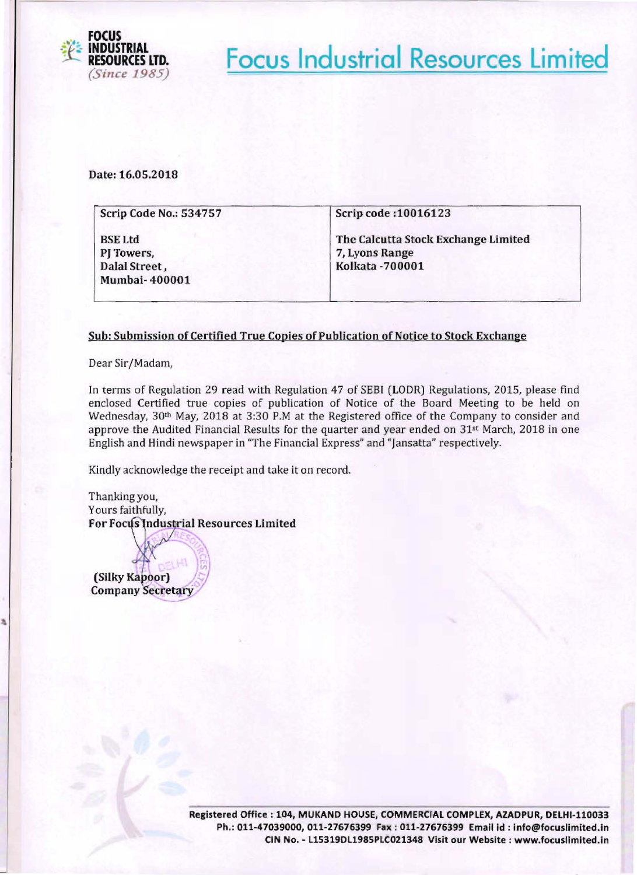

**Focus Industrial Resources Limited** 

Date: 16,05,2018

| <b>Scrip Code No.: 534757</b>                 | Scrip code: 10016123                                                             |
|-----------------------------------------------|----------------------------------------------------------------------------------|
| <b>BSE Ltd</b><br>PJ Towers,<br>Dalal Street, | The Calcutta Stock Exchange Limited<br>7, Lyons Range<br><b>Kolkata - 700001</b> |
| <b>Mumbai-400001</b>                          |                                                                                  |

## Sub: Submission of Certified True Copies of Publication of Notice to Stock Exchange

Dear Sir/Madam,

In terms of Regulation 29 read with Regulation 47 of SE81 (LODR) Regulations, 2015, please find enclosed Certified true copies of publication of Notice of the Board Meeting to be held on Wednesday, 30th May, 2018 at 3:30 P.M at the Registered office of the Company to consider and approve the Audited Financial Results for the quarter and year ended on  $31<sup>st</sup>$  March, 2018 in one English and Hindi newspaper in "The Financial Express" and "Jansatta" respectively.

Kindly acknowledge the receipt and take it on record.

Thanking you, Yours faithfully, For Focus Industrial Resources Limited

(Silky Kapoor) **Company Secretary**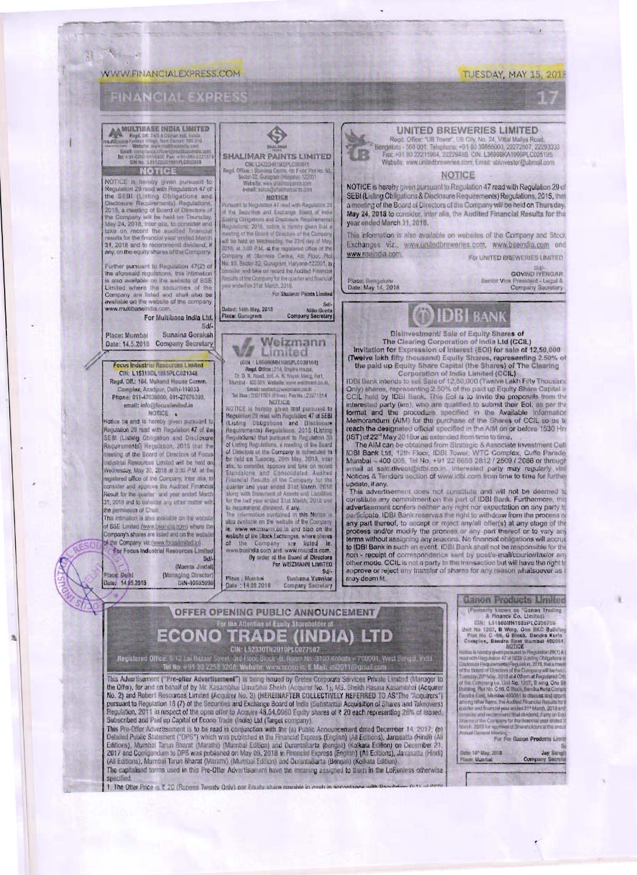### **WWW.FINANCIALEXPRESS.COM**

3

## **FINANCIAL EXPRESS**

MULTIBASE INDIA LIMITED East car and the film of the car and<br>fit estate the film of the car and car and car and car and car and car and car and car and car and car and car<br>car and car and car and car and car and car and car and car and car and ca

## **NOTICE**

NOTICE in Arraby given pursuant to<br>Regulation 20 road with Regulation 47 of<br>the SEBI (Listing Obligations and<br>Disclause Requirements) Regulations<br>2015, a meeting of Board of Obstables of the Company will be held on Thursday,<br>May 24, 2018, inter also to consider and take on moond the equilied financial reaults for the financial year anded March<br>31, 2018 and to reconsitent dividend, if<br>any, on the equity shares of the Company.

Further pursuant to Reputation 47(2) of the aforesaid regulations, this intimetion<br>is also available on the website of BSE Lim ted where the securities of the<br>Company are listed and shall also be<br>available on the website of the company www.multibase nitia com

For Multibase India Ltd.  $Sd$ Sunaina Goraksi Place: Mumbai

Date: 14.5.2018 Company Secretary

Focus Industrial Resources Limited CIN: L153110L1985PLC021348 Regd, Off.: 194, Mukand House Comm<br>Complex, Azadpur, Delhi-110033 Phone: 011-47039000, 011-27076399, email: info@focusfinitied.in NOTICE .

Notice the and in hereby given pursuant to SEBI (Listing Obagation and Disclosure Requirements) Regulation, 2015 that the theeling of the Board of Carectors of Focu industrial Resources Limited will be held on equitieed office of the Company, inter alia, to consider and approve the Audited Financial Result for the quarter and year ended Marc 31, 2018 and to consider any other matter with the permission of Chair.

This introduce is also available on the websit of BSE Limited (www.treaindla.com) where the<br>Company's shares are listed and on the website of the Company viz (www.focus.tmlbed.in)

For Fodus Industrial Resources Limits Sd/ (Mamta Jindai) Place: Delhi (Managing Director

Registered Office: 9.12 Lai Razar

DIN-00035098

Subscribed and Paid up Capital of Econo Trade (India) Ltd (Target company).

Date: 14 05 2018



♦

For Shallmar Paints Limited

## Dated: 14th May, 2018 Nitin Gunta<br>Company Secretary

Weizmann  $\sqrt{a}$ Limited (CHE : LESSONIKIONSPLCO38104)

For  $\lambda$  and  $\lambda$  and  $\lambda$  and  $\lambda$  and  $\lambda$  and  $\lambda$  and  $\lambda$  and  $\lambda$  and  $\lambda$  and  $\lambda$  and  $\lambda$  and  $\lambda$  and  $\lambda$  and  $\lambda$  and  $\lambda$  and  $\lambda$  and  $\lambda$  and  $\lambda$  and  $\lambda$  and  $\lambda$  and  $\lambda$  and  $\lambda$  and  $\lambda$  and  $\lambda$  and

**Flace: Gunugrain** 

Tat Hass: 2021/001 (Form) Farita (2202/1014)<br>NOTICE is hundred particle and parameter to Regulation (2) ment with Figuria<br>Internal to Regulations (2) mention and Clicketing (2) that parameter<br>Figuria and State Regulations Financial Hensitta of the Company for the part of the algorithm and a start and Lucillites<br>the start and year ended 3.1 at March, 2018 and<br>the function of the start and Lucillites<br>to the start and start and the material o

le, www.weitmann.co.in and also on the re, www.wermanic.com and avevenues where changes<br>which of the Company are lated in the Company are lated in the<br>own board of the Company are lated toom.<br>By urder of the board of Directors<br>For WEIZMANN LIMITED

OFFER OPENING PUBLIC ANNOUNCEMENT, ECONO<sup>For the Attention of Equal y Shannon of</sup> A) LTD

CIN: L52330TN2010PLC077507

el No. + 91 83 2256 3208. Website: www.econo.in: E Mail: eN201169graal.co

This Advertisement ("Pre-offer Advertisement") is being issued by Gretex Comorate Services Private Limited (Manager to<br>the Offer), for and on behalf of by Mr. Kasambhai Umarbhai Shekh (Acquirer No. 1), Ms. Shekh Hasina Ka

This Pre-Offer Advertisement is to be read in conjunction with the (a) Public Announcement dated December 14, 2017; (b) The Statement ("DPS") which was published in the Francist Equitors (English) (All Editions), Janusalta (Hindi) (All Editions), Janusalta (Hindi) (All Editions), Manbal Tarun Bharat (Maralhi) (Mumbai Edition) and Duranti Ba

Sunhama Vesvikar Place: Mambai<br>Dule: 14.05.2018 Company Secretary



Regd, Office: "UB Tower", UB City, Mo. 24, Vittal Maliya Road,<br>Bergaluru - 568 B01, Telephone: +91 80 30655000, 22272907, 22293333 Fax: +91 80 22211964, 22229488. CIN: L3699BKA1999PLC025195. Website: www.unitedbrewenes.com, Email: ubicwestor@ubmail.com

#### **NOTICE**

NOTICE is hereby given pursuant to Regulation 47 read with Regulation 29 of SEBI (Listing Obligations & Disclosure Requirements) Regulations, 2015, that a meeting of the Board of Directors of the Company will be held on Thursday, May 24, 2018 to consider, inter alla, the Audited Financial Results for the vear ended March 31, 2018.

This information is also available on websites of the Company and Stock Exchanges viz., www.unitedbreweries.com, www.bseindia.com and www.nseindia.com. For UNITED BREWERIES LIMITED

Place: Bengaluni<br>Date: May 14, 2018

Nam - 700001, West Bungal, India

**GOVIND IYENGAR** Senior Vice President - Legal &<br>Company Socretary

# IDBI bank

Disinvestment/ Sale of Equity Shares of The Clearing Corporation of India Ltd (CCIL) Invitation for Expression of Interest (EOI) for sale of 12,50,000 (Twelve lakh fifty thousand) Equity Shares, representing 2.50% of<br>the paid up Equity Share Capital (the Shares) of The Clearing<br>Corporation of India Limited (CCIL)

Corporation of India Limited (CCIL)<br>IDBI Bank intends to set Sale of 12,50,000 (Twinter Lakh Fifty Thousant<br>COIN) shares, representing 2.50% of the paid up Equity Share Capital in<br>CCIL hald by IDBI Bank. This EoI is to inv reach the designated official specified in the AIM on or before 1530 Hr.

(IST) of 22" May 2018or as extended from time to time,<br>The AIM can be obtained from Strategic & Associate Investment Cell<br>IDBI Bank Ltd, 12th Floor, IDBI Tower, WTC Complex, Cutte Parade Mumbai - 400 005, Tel No. +91 22 0655 2812 / 2509 / 2086 or through ernall at sale.divent@idbl.co.in, interested party may regularly visit<br>Noticas & Tenders section of www.idbl.com from time to time for further update, if any.

This advertisement does not constitute and will not be deemed to constitute any commitment on the part of IDBI Bank, Furthermore, this advertisement confers neither any right nor expectation on any party to participate. IDBI Bank magnus the right to withdraw from the process of any part thereof, to accept or reject any/all offer(s) at any stage of the process and/or modify the process or any part thereof or to vary any terms non - receipt of correspondence sent by post/e-mail/courier/fax/or any offier mode. CCIL is not a party to the transaction but will have the right to approve or reject any transfer of shares for any reason whatsoever as may deem fit

### **Ganon Products Limited**

(Further planets)<br>  $\frac{5}{6}$  Finance Co. Limited<br>
City 151900000191985PC-CO29708<br>
User No. 1207, B Wing, O. BXC Sulldim<br>
Pist No. C-96, G Blook, Bandra Kucha<br>
Complex, Bandra Kucha<br>
BOTICE<br>
MOTICE

Notice in Analytics and MOTOR<br>
Notice is a buying parametric Regulation 2013 At the concerning parametric Regulation 2013 At the concerning Company of the company will be compatible to the company of the company of the Co

For For Ganon Products Limit

Date: 14" May, 2018 **Jay Sang** Place: Mundail Company Secrets

The capitalised terms used in this Pre-Offer Advertisement have the meaning assigned to them in the LoFunless otherwise specified 1. The Ofter Price is ₹ 20 (Rupees Twenty Ordy) per Emaily share movable to each in second in

TUESDAY, MAY 15, 201

N 5